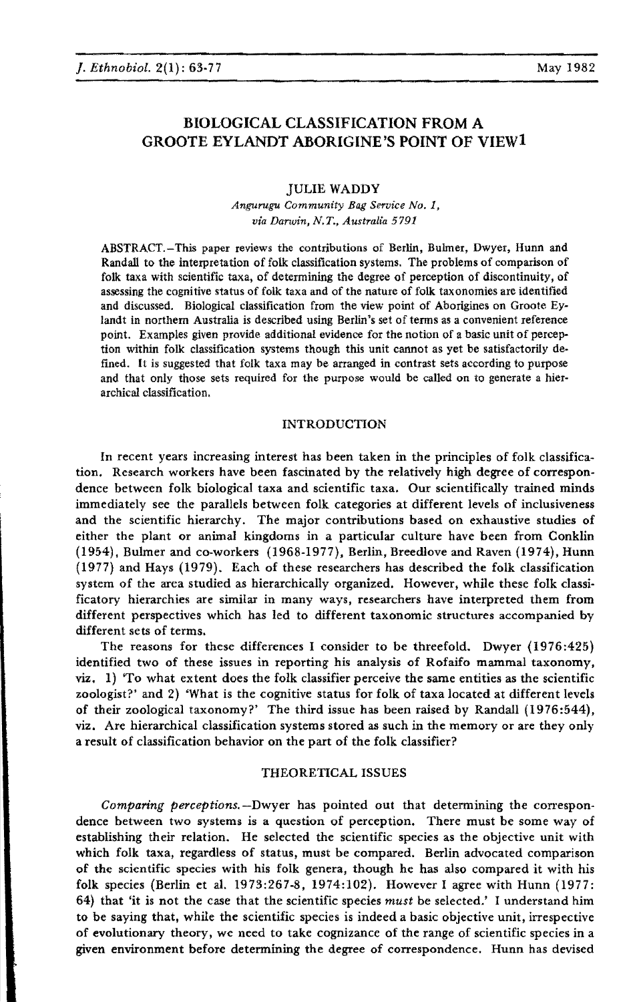# BIOLOGICAL CLASSIFICATION FROM A GROOTE EYLANDT ABORIGINE'S POINT OF VIEWI

### JULIE WADDY

*Angurugu Community Bag Service No.1, via Darwin, N.T., Australia 5791*

ABSTRACT.-This paper reviews the contributions of Berlin, Buhner, Dwyer, Hunn and Randall to the interpretation of folk classification systems. The problems of comparison of folk taxa with scientific taxa, of determining the degree of perception of discontinuity, of assessing the cognitive status of folk taxa and of the nature of folk taxonomies are identified and discussed. Biological classification from the view point of Aborigines on Groote Eylandt in northern Australia is described using Berlin's set of terms as a convenient reference point. Examples given provide additional evidence for the notion of a basic unit of perception within folk classification systems though this unit cannot as yet be satisfactorily defined. It is suggested that folk taxa may be arranged in contrast sets according to purpose and that only those sets required for the purpose would be called on to generate a hierarchical classification.

### INTRODUCTION

In recent years increasing interest has been taken in the principles of folk classification. Research workers have been fascinated by the relatively high degree of correspondence between folk biological taxa and scientific taxa. Our scientifically trained minds immediately see the parallels between folk categories at different levels of inclusiveness and the scientific hierarchy. The major contributions based on exhaustive studies of either the plant or animal kingdoms in a particular culture have been from Conklin (1954), Bulmer and co-workers (1968-1977), Berlin, Breedlove and Raven (1974), Hunn (1977) and Hays (1979). Each of these researchers has described the folk classification system of the area studied as hierarchically organized. However, while these folk classificatory hierarchies are similar in many ways, researchers have interpreted them from different perspectives which has led to different taxonomic structures accompanied by different sets of terms.

The reasons for these differences I consider to be threefold. Dwyer (1976:425) identified two of these issues in reporting his analysis of Rofaifo mammal taxonomy, viz. 1) 'To what extent does the folk classifier perceive the same entities as the scientific zoologist?' and 2) 'What is the cognitive status for folk of taxa located at different levels of their zoological taxonomy?' The third issue has been raised by Randall (1976:544). viz. Are hierarchical classification systems stored as such in the memory or are they only a result of classification behavior on the part of the folk classifier?

## THEORETICAL ISSUES

*Comparing perceptions.-Dwyer* has pointed out that determining the correspondence between two systems is a question of perception. There must be some way of establishing their relation. He selected the scientific species as the objective unit with which folk taxa, regardless of status, must be compared. Berlin advocated comparison of the scientific species with his folk genera, though he has also compared it with his folk species (Berlin et al. 1973:267-8, 1974:102). However I agree with Hunn (1977: 64) that 'it is not the case that the scientific species *must* be selected.' I understand him to be saying that, while the scientific species is indeed a basic objective unit, irrespective of evolutionary theory, we need to take cognizance of the range of scientific species in a given environment before determining the degree of correspondence. Hunn has devised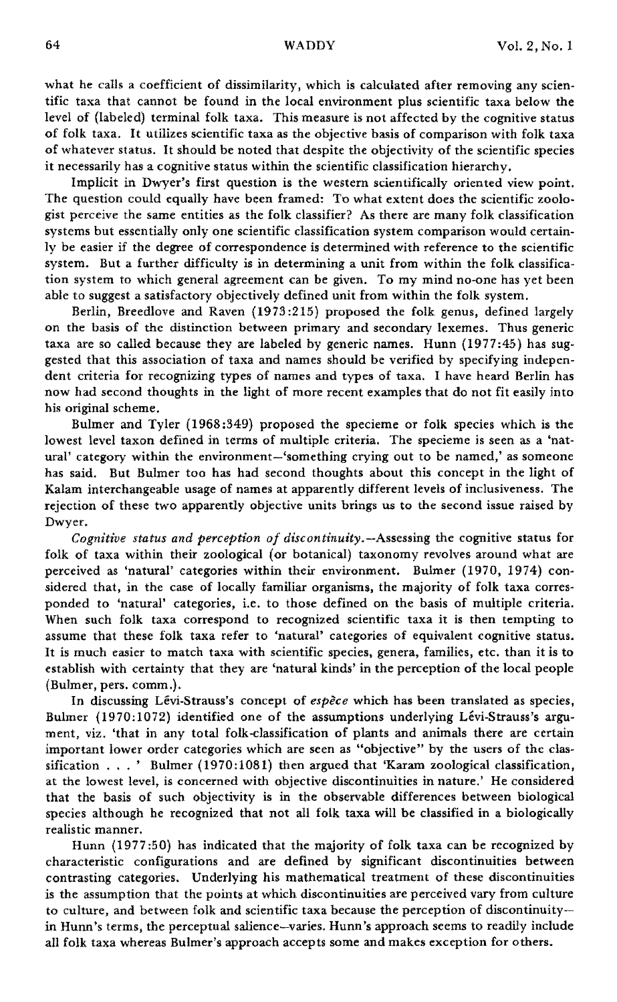what he calls a coefficient of dissimilarity, which is calculated after removing any scientific taxa that cannot be found in the local environment plus scientific taxa below the level of (labeled) terminal folk taxa. This measure is not affected by the cognitive status of folk taxa. It utilizes scientific taxa as the objective basis of comparison with folk taxa of whatever status. It should be noted that despite the objectivity of the scientific species it necessarily has a cognitive status within the scientific classification hierarchy.

Implicit in Dwyer's first question is the western scientifically oriented view point. The question could equally have been framed: To what extent does the scientific zoologist perceive the same entities as the folk classifier? As there are many folk classification systems but essentially only one scientific classification system comparison would certainly be easier if the degree of correspondence is determined with reference to the scientific system. But a further difficulty is in determining a unit from within the folk classification system to which general agreement can be given. To my mind no-one has yet been able to suggest a satisfactory objectively defined unit from within the folk system.

Berlin, Breedlove and Raven (1973:215) proposed the folk genus, defined largely on the basis of the distinction between primary and secondary lexemes. Thus generic taxa are so called because they are labeled by generic names. Hunn (1977:45) has suggested that this association of taxa and names should be verified by specifying independent criteria for recognizing types of names and types of taxa. I have heard Berlin has now had second thoughts in the light of more recent examples that do not fit easily into his original scheme.

Bulmer and Tyler (1968 :349) proposed the specieme or folk species which is the lowest level taxon defined in terms of multiple criteria. The specieme is seen as a 'natural' category within the environment-'something crying out to be named,' as someone has said. But Bulmer too has had second thoughts about this concept in the light of Kalam interchangeable usage of names at apparently different levels of inclusiveness. The rejection of these two apparently objective units brings us to the second issue raised by Dwyer.

*Cognitive status and perception of discontinuity.-Assessing* the cognitive status for folk of taxa within their zoological (or botanical) taxonomy revolves around what are perceived as 'natural' categories within their environment. Bulmer (1970, 1974) considered that, in the case of locally familiar organisms, the majority of folk taxa corresponded to 'natural' categories, i.e. to those defined on the basis of multiple criteria. When such folk taxa correspond to recognized scientific taxa it is then tempting to assume that these folk taxa refer to 'natural' categories of equivalent cognitive status. It is much easier to match taxa with scientific species, genera, families, etc. than it is to establish with certainty that they are 'natural kinds' in the perception of the local people (Bulmer, pen. comm.).

In discussing Levi-Strauss's concept of *espece* which has been translated as species, Bulmer (1970:1072) identified one of the assumptions underlying Levi-Strauss's argument, viz. 'that in any total folk-classification of plants and animals there are certain important lower order categories which are seen as "objective" by the users of the classification ... ' Bulmer (1970:1081) then argued that 'Karam zoological classification, at the lowest level, is concerned with objective discontinuities in nature.' He considered that the basis of such objectivity is in the observable differences between biological species although he recognized that not all folk taxa will be classified in a biologically realistic manner.

Hunn (1977:50) has indicated that the majority of folk taxa can be recognized by characteristic configurations and are defined by significant discontinuities between contrasting categories. Underlying his mathematical treatment of these discontinuities is the assumption that the points at which discontinuities are perceived vary from culture to culture, and between folk and scientific taxa because the perception of discontinuityin Hunn's terms, the perceptual salience-varies. Hunn's approach seems to readily include all folk taxa whereas Bulmer's approach accepts some and makes exception for others.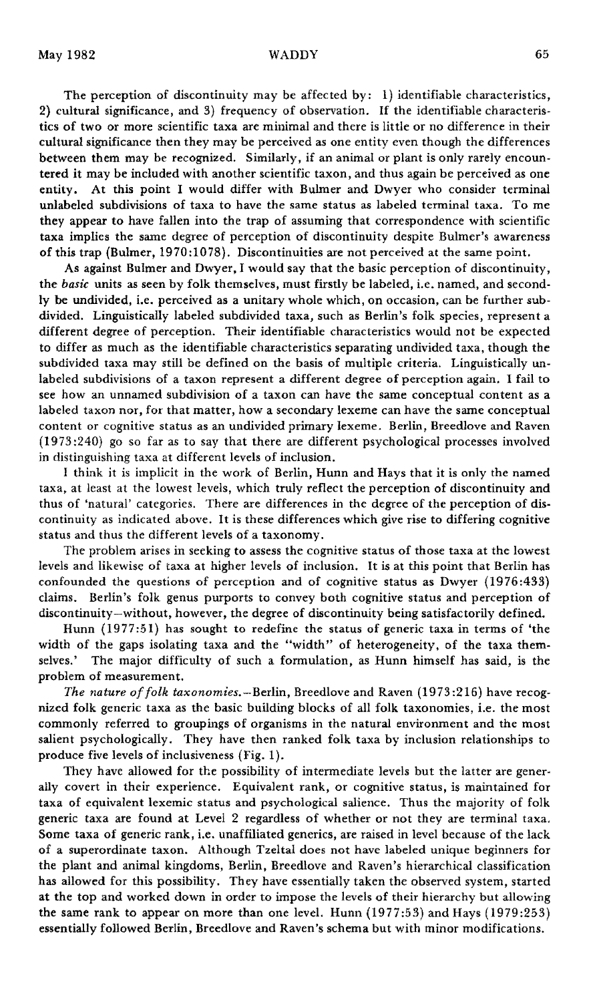The perception of discontinuity may be affected by: 1) identifiable characteristics, 2) cultural significance, and 3) frequency of observation. If the identifiable characteristics of two or more scientific taxa are minimal and there is little or no difference in their cultural significance then they may be perceived as one entity even though the differences between them may be recognized. Similarly, if an animal or plant is only rarely encountered it may be included with another scientific taxon, and thus again be perceived as one entity. At this point I would differ with Bulmer and Dwyer who consider terminal unlabeled subdivisions of taxa to have the same status as labeled terminal taxa. To me they appear to have fallen into the trap of assuming that correspondence with scientific taxa implies the same degree of perception of discontinuity despite Bulmer's awareness of this trap (Bulmer, 1970:1078). Discontinuities are not perceived at the same point.

As against Bulmer and Dwyer, I would say that the basic perception of discontinuity, the *basic* units as seen by folk themselves, must firstly be labeled, i.e. named, and secondly be undivided, i.e. perceived as a unitary whole which, on occasion, can be further subdivided. Linguistically labeled subdivided taxa, such as Berlin's folk species, represent a different degree of perception. Their identifiable characteristics would not be expected to differ as much as the identifiable characteristics separating undivided taxa, though the subdivided taxa may still be defined on the basis of multiple criteria. Linguistically unlabeled subdivisions of a taxon represent a different degree of perception again. 1 fail to see how an unnamed subdivision of a taxon can have the same conceptual content as a labeled taxon nor, for that matter, how a secondary lexeme can have the same conceptual content or cognitive status as an undivided primary lexeme. Berlin, Breedlove and Raven (1973 :240) go so far as to say that there are different psychological processes involved in distinguishing taxa at different levels of inclusion.

1 think it is implicit in the work of Berlin, Hunn and Hays that it is only the named taxa, at least at the lowest levels, which truly reflect the perception of discontinuity and thus of 'natural' categories. There are differences in the degree of the perception of discontinuity as indicated above. It is these differences which give rise to differing cognitive status and thus the different levels of a taxonomy.

The problem arises in seeking to assess the cognitive status of those taxa at the lowest levels and likewise of taxa at higher levels of inclusion. It is at this point that Berlin has confounded the questions of perception and of cognitive status as Dwyer (1976:433) claims. Berlin's folk genus purports to convey both cognitive status and perception of discontinuity-without, however, the degree of discontinuity being satisfactorily defined.

Hunn (1977:51) has sought to redefine the status of generic taxa in terms of 'the width of the gaps isolating taxa and the "width" of heterogeneity, of the taxa themselves.' The major difficulty of such a formulation, as Hunn himself has said, is the problem of measurement.

*The nature offolk taxonomies.-BerIin,* Breedlove and Raven (1973:216) have recognized folk generic taxa as the basic building blocks of all folk taxonomies, i.e. the most commonly referred to groupings of organisms in the natural environment and the most salient psychologically. They have then ranked folk taxa by inclusion relationships to produce five levels of inclusiveness (Fig. 1).

They have allowed for the possibility of intermediate levels but the latter are generally covert in their experience. Equivalent rank, or cognitive status, is maintained for taxa of equivalent lexemic status and psychological salience. Thus the majority of folk generic taxa are found at Level 2 regardless of whether or not they are terminal taxa. Some taxa of generic rank, Le. unaffiliated generics, are raised in level because of the lack of a superordinate taxon. Although Tzeltal does not have labeled unique beginners for the plant and animal kingdoms, Berlin, Breedlove and Raven's hierarchical classification has allowed for this possibility. They have essentially taken the observed system, started at the top and worked down in order to impose the levels of their hierarchy but allowing the same rank to appear on more than one level. Hunn (1977:53) and Hays (1979:253) essentially followed Berlin, Breedlove and Raven's schema but with minor modifications.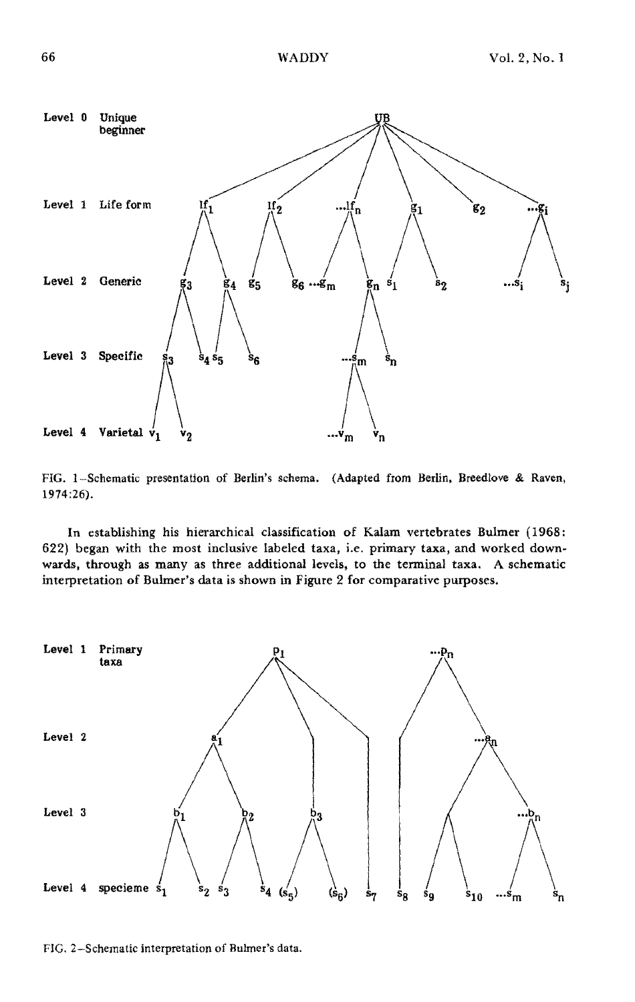

FIG. I-Schematic presentation of Berlin's schema. (Adapted from Berlin, Breedlove & Raven, 1974:26).

In establishing his hierarchical classification of Kalam vertebrates Bulmer (1968; 622) began with the most inclusive labeled taxa, i.e. primary taxa, and worked downwards, through as many as three additional levels, to the terminal taxa. A schematic interpretation of Bulmer's data is shown in Figure 2 for comparative purposes.



FIG. 2-Schematic interpretation of Bulmer's data.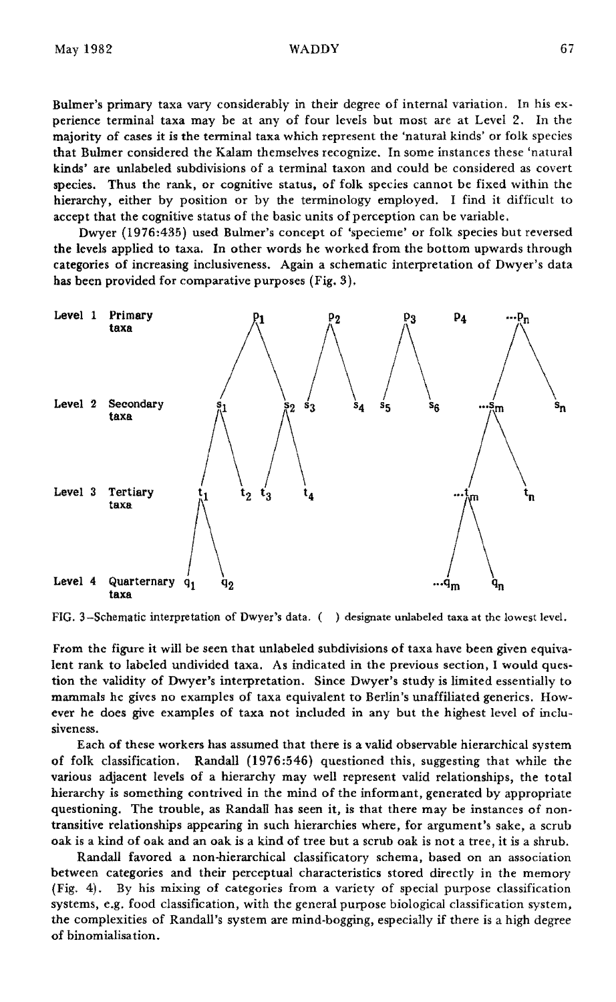Bulmer's primary taxa vary considerably in their degree of internal variation. In his experience terminal taxa may be at any of four levels but most are at Level 2. In the majority of cases it is the terminal taxa which represent the 'natural kinds' or folk species that Bulmer considered the Kalam themselves recognize. In some instances these 'natural kinds' are unlabeled subdivisions of a terminal taxon and could be considered as covert species. Thus the rank, or cognitive status, of folk species cannot be fixed within the hierarchy, either by position or by the terminology employed. I find it difficult to accept that the cognitive status of the basic units of perception can be variable.

Dwyer (1976:435) used Bulmer's concept of 'specieme' or folk species but reversed the levels applied to taxa. In other words he worked from the bottom upwards through categories of increasing inclusiveness. Again a schematic interpretation of Dwyer's data has been provided for comparative purposes (Fig. 3).



FIG. 3-Schematic interpretation of Dwyer's data. () designate unlabeled taxa at the lowest level.

From the figure it will be seen that unlabeled subdivisions of taxa have been given equivalent rank to labeled undivided taxa. As indicated in the previous section, I would question the validity of Dwyer's interpretation. Since Dwyer's study is limited essentially to mammals he gives no examples of taxa equivalent to Berlin's unaffiliated generics. However he does give examples of taxa not included in any but the highest level of inclusiveness.

Each of these workers has assumed that there is a valid observable hierarchical system of folk classification. Randall (1976:546) questioned this, suggesting that while the various adjacent levels of a hierarchy may well represent valid relationships, the total hierarchy is something contrived in the mind of the informant, generated by appropriate questioning. The trouble, as Randall has seen it, is that there may be instances of nontransitive relationships appearing in such hierarchies where, for argument's sake, a scrub oak is a kind of oak and an oak is a kind of tree but a scrub oak is not a tree, it is a shrub.

Randall favored a non-hierarchical classificatory schema, based on an association between categories and their perceptual characteristics stored directly in the memory (Fig. 4). By his mixing of categories from a variety of special purpose classification systems, e.g. food classification, with the general purpose biological classification system, the complexities of Randall's system are mind-bogging, especially if there is a high degree of binomialisation.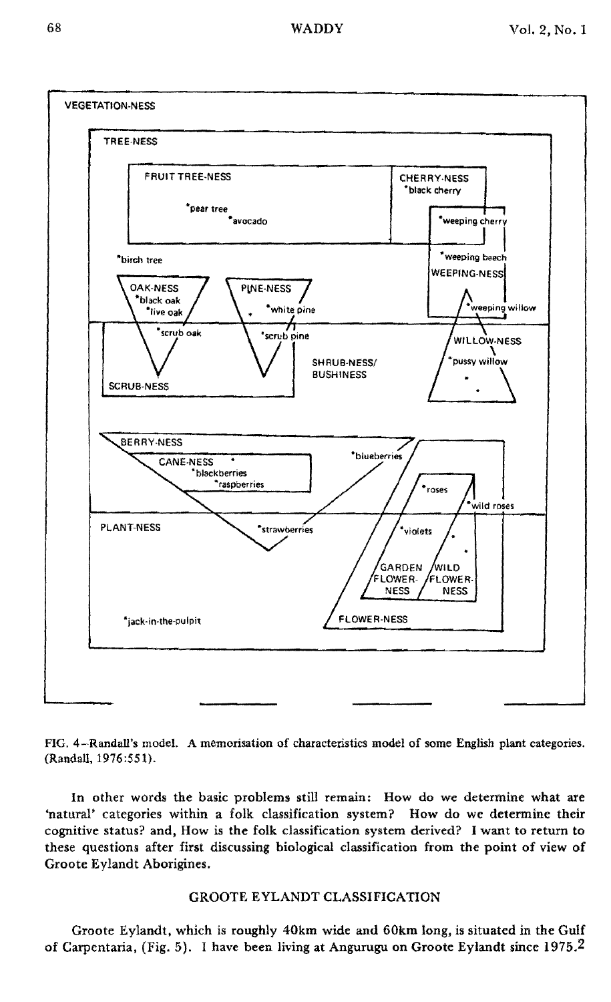### WADDY



FIG. 4-Randall's model. A memorisation of characteristics model of some English plant categories. (Randall,1976:551).

**In** other words the basic problems still remain: How do we determine what are 'natural' categories within a folk classification system? How do we determine their cognitive status? and, How is the folk classification system derived? I want to return to these questions after first discussing biological classification from the point of view of Groote Eylandt Aborigines.

# GROOTE EYLANDT CLASSIFICATION

Groote Eylandt, which is roughly 40km wide and 60km long, is situated in the Gulf of Carpentaria, (Fig. 5). I have been living at Angurugu on Groote Eylandt since 1975.2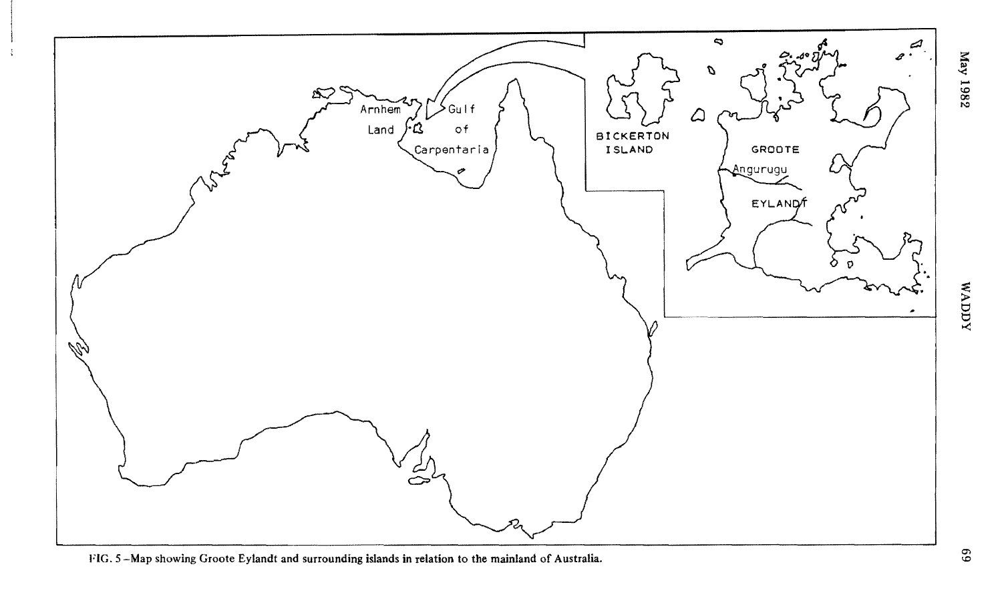

FIG. 5-Map showing Groote Eylandt and surrounding islands in relation to the mainland of Australia.

 $\frac{3}{2}$ 

 $x$  and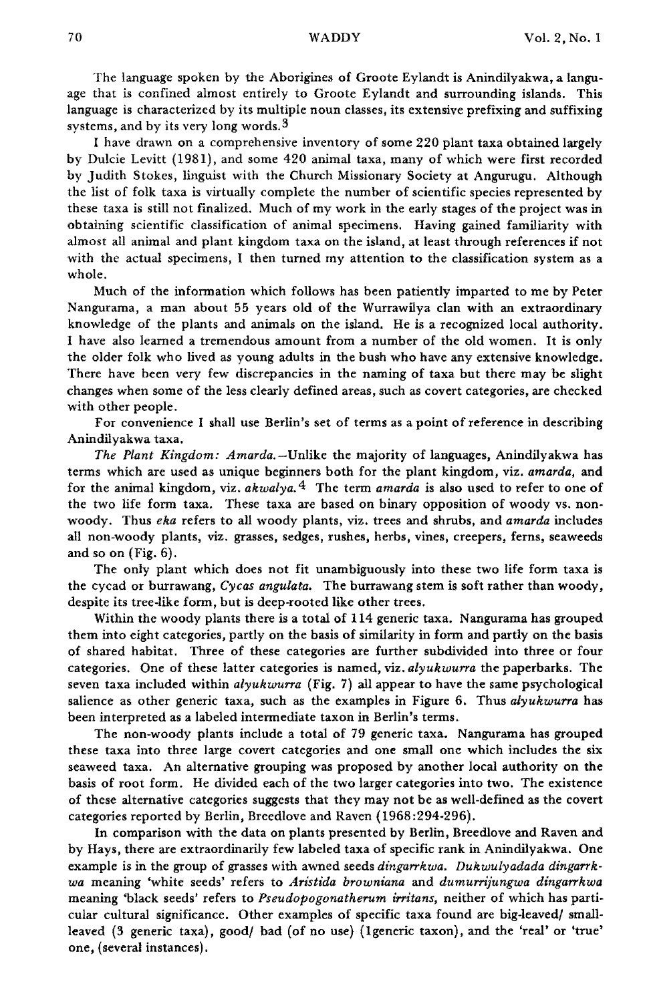The language spoken by the Aborigines of Groote Eylandt is Anindilyakwa, a language that is confined almost entirely to Groote Eylandt and surrounding islands. This language is characterized by its multiple noun classes, its extensive prefixing and suffixing systems, and by its very long words.<sup>3</sup>

I have drawn on a comprehensive inventory of some 220 plant taxa obtained largely by Dulcie Levitt (1981), and some 420 animal taxa, many of which were first recorded by Judith Stokes, linguist with the Church Missionary Society at Angurugu. Although the list of folk taxa is virtually complete the number of scientific species represented by these taxa is still not finalized. Much of my work in the early stages of the project was in obtaining scientific classification of animal specimens. Having gained familiarity with almost all animal and plant kingdom taxa on the island, at least through references if not with the actual specimens, I then turned my attention to the classification system as a whole.

Much of the information which follows has been patiently imparted to me by Peter Nangurama, a man about 55 years old of the Wurrawilya clan with an extraordinary knowledge of the plants and animals on the island. He is a recognized local authority. I have also learned a tremendous amount from a number of the old women. It is only the older folk who lived as young adults in the bush who have any extensive knowledge. There have been very few discrepancies in the naming of taxa but there may be slight changes when some of the less clearly defined areas, such as covert categories, are checked with other people.

For convenience I shall use Berlin's set of terms as a point of reference in describing Anindilyakwa taxa.

*The Plant Kingdom: Amarda.-Unlike* the majority of languages, Anindilyakwa has terms which are used as unique beginners both for the plant kingdom, viz. *amarda,* and for the animal kingdom, viz. *akwalya. 4* The term *amarda* is also used to refer to one of the two life form taxa. These taxa are based on binary opposition of woody vs. nonwoody. Thus *eka* refers to all woody plants, viz. trees and shrubs, and *amarda* includes all non-woody plants, viz. grasses, sedges, rushes, herbs, vines, creepers, ferns, seaweeds and so on (Fig. 6).

The only plant which does not fit unambiguously into these two life form taxa is the cycad or burrawang, *Cycas angulata.* The burrawang stem is soft rather than woody, despite its tree-like form, but is deep-rooted like other trees.

Within the woody plants there is a total of 114 generic taxa. Nangurama has grouped them into eight categories, partly on the basis of similarity in form and partly on the basis of shared habitat. Three of these categories are further subdivided into three or four categories. One of these latter categories is named, viz. *alyukwurra* the paperbarks. The seven taxa included within *alyukwurra* (Fig. 7) all appear to have the same psychological salience as other generic taxa, such as the examples in Figure 6. Thus *alyukwurra* has been interpreted as a labeled intermediate taxon in Berlin's terms.

The non-woody plants include a total of 79 generic taxa. Nangurama has grouped these taxa into three large covert categories and one small one which includes the six seaweed taxa. An alternative grouping was proposed by another local authority on the basis of root form. He divided each of the two larger categories into two. The existence of these alternative categories suggests that they may not be as well-defined as the covert categories reported by Berlin, Breedlove and Raven (1968:294-296).

In comparison with the data on plants presented by Berlin, Breedlove and Raven and by Hays, there are extraordinarily few labeled taxa of specific rank in Anindilyakwa. One example is in the group of grasses with awned seeds *dingarrkwa. Dukwulyadada dingarrkwa* meaning 'white seeds' refers to *Aristida browniana* and *dumurrijungwa dingarrkwa* meaning 'black seeds' refers to *Pseudopogonatherum irritans,* neither of which has particular cultural significance. Other examples of specific taxa found are big-leaved/ smallleaved (3 generic taxa), good/ bad (of no use) (1generic taxon), and the 'real' or 'true' one, (several instances).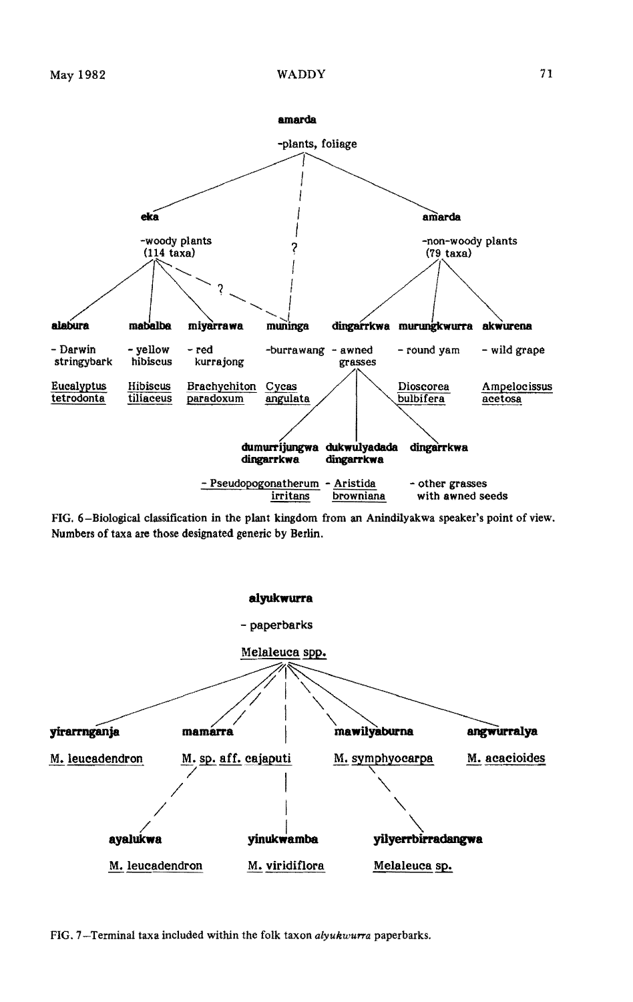

FIG. 6-Biological classification in the plant kingdom from an Anindilyakwa speaker's point of view. Numbers of taxa are those designated generic by Berlin.



FIG. 7-Terminal taxa included within the folk taxon alyukwurra paperbarks.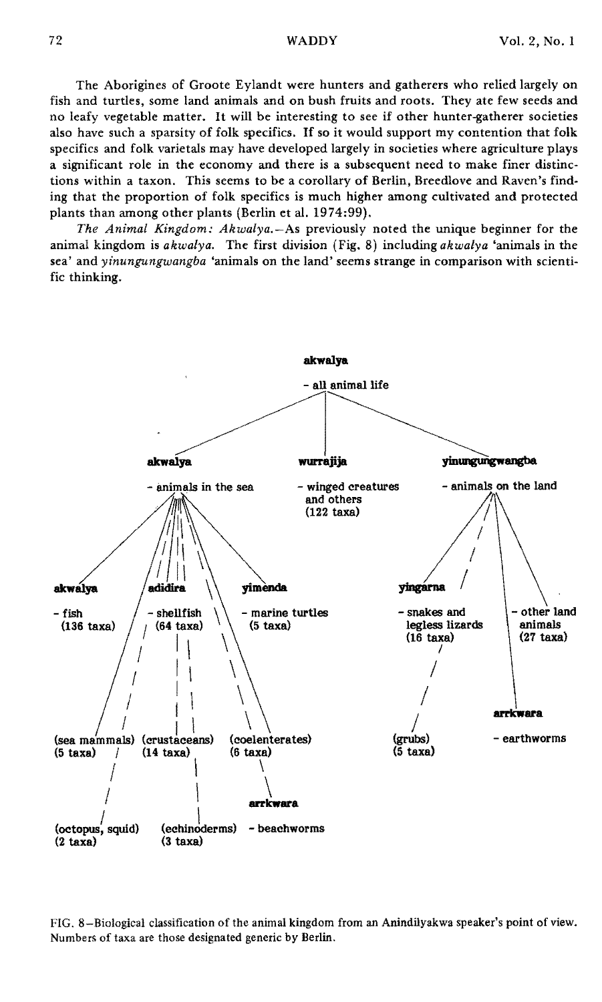The Aborigines of Groote Eylandt were hunters and gatherers who relied largely on fish and turtles, some land animals and on bush fruits and roots. They ate few seeds and no leafy vegetable matter. It will be interesting to see if other hunter-gatherer societies also have such <sup>a</sup> sparsity of folk specifics. If so it would support my contention that folk specifics and folk varietals may have developed largely in societies where agriculture plays a significant role in the economy and there is a subsequent need to make finer distinc· tions within a taxon. This seems to be a corollary of Berlin, Breedlove and Raven's find· ing that the proportion of folk specifics is much higher among cultivated and protected plants than among other plants (Berlin et a1. 1974:99).

*The Animal Kingdom: Akwalya.-As* previously noted the unique beginner for the animal kingdom is *akwalya.* The first division (Fig. 8) including *akwalya* 'animals in the sea' and *yinungungwangba* 'animals on the land' seems strange in comparison with scientific thinking.



FIG. 8-Biological classification of the animal kingdom from an Anindilyakwa speaker's point of view. Numbers of taxa are those designated generic by Berlin.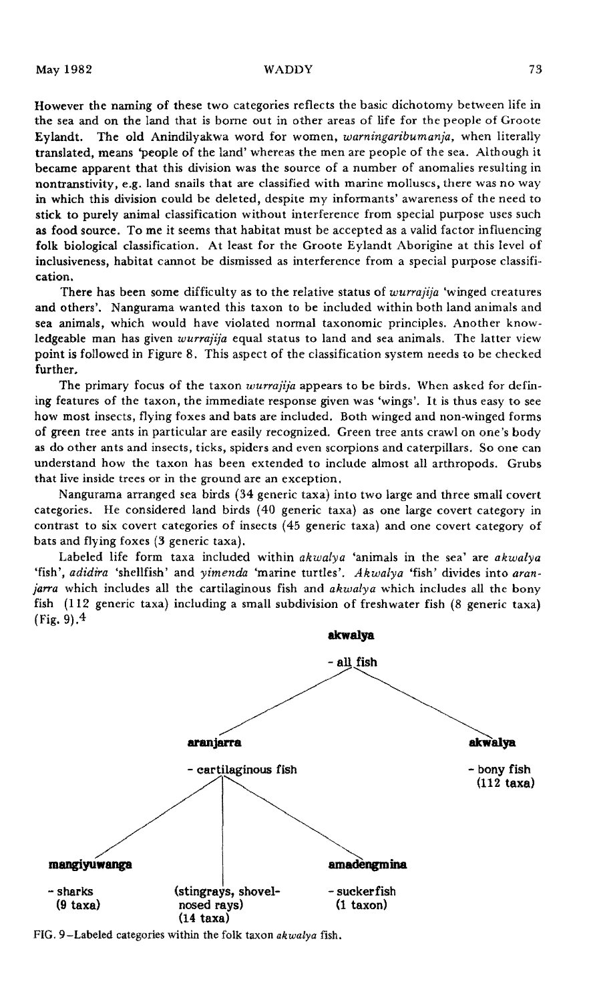However the naming of these two categories reflects the basic dichotomy between life in the sea and on the land that is borne out in other areas of life for the people of Groote Eylandt. The old Anindilyakwa word for women, *warningaribumanja,* when literally translated, means 'people of the land' whereas the men are people of the sea. Although it became apparent that this division was the source of a number of anomalies resulting in nontranstivity, e.g. land snails that are classified with marine molluscs, there was no way in which this division could be deleted, despite my informants' awareness of the need to stick to purely animal classification without interference from special purpose uses such as food source. To me it seems that habitat must be accepted as a valid factor influencing folk biological classification. At least for the Groote Eylandt Aborigine at this level of inclusiveness, habitat cannot be dismissed as interference from a special purpose classification.

There has been some difficulty as to the relative status of *wurrajija* 'winged creatures and others'. Nangurama wanted this taxon to be included within both land animals and sea animals, which would have violated normal taxonomic principles. Another knowledgeable man has given *wurrajija* equal status to land and sea animals. The latter view point is followed in Figure 8. This aspect of the classification system needs to be checked further.

The primary focus of the taxon *wurrajija* appears to be birds. When asked for defining features of the taxon, the immediate response given was 'wings'. It is thus easy to see how most insects, flying foxes and bats are included. Both winged and non-winged forms of green tree ants in particular are easily recognized. Green tree ants crawl on one's body as do other ants and insects, ticks, spiders and even scorpions and caterpillars. So one can understand how the taxon has been extended to include almost all arthropods. Grubs that live inside trees or in the ground are an exception.

Nangurama arranged sea birds (34 generic taxa) into two large and three small covert categories. He considered land birds (40 generic taxa) as one large covert category in contrast to six covert categories of insects (45 generic taxa) and one covert category of bats and flying foxes (3 generic taxa).

Labeled life form taxa included within *akwalya* 'animals in the sea' are *akwalya* 'fish', *adidira* 'shellfish' and *yimenda* 'marine turtles'. *Akwalya* 'fish' divides into *aranjarra* which includes all the cartilaginous fish and *akwalya* which includes all the bony fish (112 generic taxa) including a small subdivision of freshwater fish (8 generic taxa) (Fig. 9). $4$ 



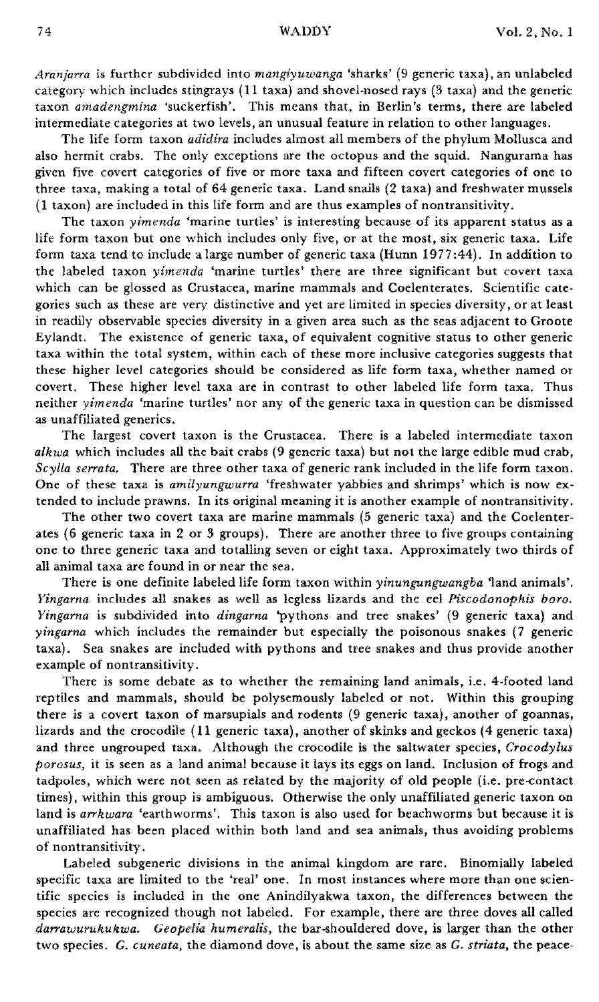*Aranjarra* is further subdivided into *mangiyuwanga* 'sharks' (9 generic taxa), an unlabeled category which includes stingrays (11 taxa) and shovel-nosed rays (3 taxa) and the generic taxon *amadengmina* ·suckerfish'. This means that, in Berlin's terms, there are labeled intermediate categories at two levels, an unusual feature in relation to other languages.

The life form taxon *adidira* includes almost all members of the phylum Mollusca and also hermit crabs. The only exceptions are the octopus and the squid. Nangurama has given five covert categories of five or more taxa and fifteen covert categories of one to three taxa, making a total of 64 generic taxa. Land snails (2 taxa) and freshwater mussels (1 taxon) are included in this life form and are thus examples of nontransitivity.

The taxon *yimenda* 'marine turtles' is interesting because of its apparent status as a life form taxon but one which includes only five, or at the most, six generic taxa. Life form taxa tend to include a large number of generic taxa (Hunn  $1977:44$ ). In addition to the labeled taxon *yimenda* 'marine turtles' there are three significant but covert taxa which can be glossed as Crustacea, marine mammals and Coelenterates. Scientific categories such as these are very distinctive and yet are limited in species diversity, or at least in readily observable species diversity in a given area such as the seas adjacent to Groote Eylandt. The existence of generic taxa, of equivalent cognitive status to other generic taxa within the total system, within each of these more inclusive categories suggests that these higher level categories should be considered as life form taxa, whether named or covert. These higher level taxa are in contrast to other labeled life form taxa. Thus neither *yimenda* 'marine turtles' nor any of the generic taxa in question can be dismissed as unaffiliated generics.

The largest covert taxon is the Crustacea. There is a labeled intermediate taxon *alkwa* which includes all the bait crabs (9 generic taxa) but not the large edible mud crab, *Scylla serrato..* There are three other taxa of generic rank included in the life form taxon. One of these taxa is *amilyungwurra* 'freshwater yabbies and shrimps' which is now extended to include prawns. In its original meaning it is another example of nontransitivity.

The other two covert taxa are marine mammals (5 generic taxa) and the Coelenterates (6 generic taxa in 2 or 3 groups). There are another three to five groups containing one to three generic taxa and totalling seven or eight taxa. Approximately two thirds of all animal taxa are found in or near the sea.

There is one definite labeled life form taxon within *yinungungwangba* 'land animals'. *Yingarna* includes all snakes as well as legless lizards and the eel Piscodonophis boro. *Yingarna* is subdivided into *dingarna* 'pythons and tree snakes' (9 generic taxa) and *yingarna* which includes the remainder but especially the poisonous snakes (7 generic taxa). Sea snakes are included with pythons and tree snakes and thus provide another example of nontransitivity.

There is some debate as to whether the remaining land animals, i.e. 4-footed land reptiles and mammals, should be polysemously labeled or not. Within this grouping there is a covert taxon of marsupials and rodents (9 generic taxa), another of goannas, lizards and the crocodile (11 generic taxa), another of skinks and geckos (4 generic taxa) and three ungrouped taxa. Although the crocodile is the saltwater species, *Crocodylus porosus,* it is seen as a land animal because it lays its eggs on land. Inclusion of frogs and tadpoles, which were not seen as related by the majority of old people (Le. pre-contact times), within this group is ambiguous. Otherwise the only unaffiliated generic taxon on land is *arrkwara* 'earthworms'. This taxon is also used for beachworms but because it is unaffiliated has been placed within both land and sea animals, thus avoiding problems of nontransitivity.

Labeled subgeneric divisions in the animal kingdom are rare. Binomially labeled specific taxa are limited to the 'real' one. In most instances where more than one scientific species is included in the one Anindilyakwa taxon, the differences between the species are recognized though not labeled. For example, there are three doves all called *darrawurukukwa. Geopelia humeralis,* the bar-shouldered dove, is larger than the other two species. *G. cuneata,* the diamond dove, is about the same size as *G. striata,* the peace-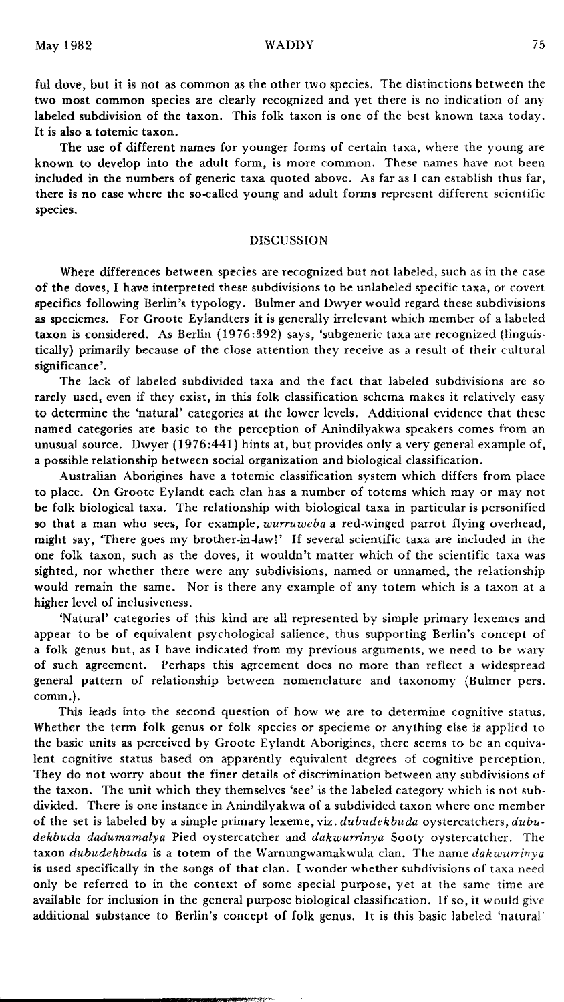ful dove, but it is not as common as the other two species. The distinctions between the two most common species are clearly recognized and yet there is no indication of any labeled subdivision of the taxon. This folk taxon is one of the best known taxa today. It is also a totemic taxon.

The use of different names for younger forms of certain taxa, where the young are known to develop into the adult form, is more common. These names have not been included in the numbers of generic taxa quoted above. As far as 1 can establish thus far, there is no case where the so-called young and adult forms represent different scientific species.

## DISCUSSION

Where differences between species are recognized but not labeled, such as in the case of the doves, I have interpreted these subdivisions to be unlabeled specific taxa, or covert specifics following Berlin's typology. Bulmer and Dwyer would regard these subdivisions as speciemes. For Groote Eylandters it is generally irrelevant which member of a labeled taxon is considered. As Berlin (1976:392) says, 'subgeneric taxa are recognized (linguis· tically) primarily because of the close attention they receive as a result of their cultural significance'.

The lack of labeled subdivided taxa and the fact that labeled subdivisions are so rarely used, even if they exist, in this folk classification schema makes it relatively easy to determine the 'natural' categories at the lower levels. Additional evidence that these named categories are basic to the perception of Anindilyakwa speakers comes from an unusual source. Dwyer (1976:441) hints at, but provides only a very general example of, a possible relationship between social organization and biological classification.

Australian Aborigines have a totemic classification system which differs from place to place. On Groote Eylandt each clan has a number of totems which mayor may not be folk biological taxa. The relationship with biological taxa in particular is personified so that a man who sees, for example, *wurruweba* a red·winged parrot flying overhead, might say, 'There goes my brother·in·law!' If several scientific taxa are included in the one folk taxon, such as the doves, it wouldn't matter which of the scientific taxa was sighted, nor whether there were any subdivisions, named or unnamed, the relationship would remain the same. Nor is there any example of any totem which is a taxon at a higher level of inclusiveness.

'Natural' categories of this kind are all represented by simple primary lexemes and appear to be of equivalent psychological salience, thus supporting Berlin's concept of a folk genus but, as I have indicated from my previous arguments, we need to be wary of such agreement. Perhaps this agreement does no more than reflect a widespread general pattern of relationship between nomenclature and taxonomy (Bulmer pers. comm.).

This leads into the second question of how we are to determine cognitive status. Whether the term folk genus or folk species or specieme or anything else is applied to the basic units as perceived by Groote Eylandt Aborigines, there seems to be an equiva· lent cognitive status based on apparently equivalent degrees of cognitive perception. They do not worry about the finer details of discrimination between any subdivisions of the taxon. The unit which they themselves 'see' is the labeled category which is not sub· divided. There is one instance in Anindilyakwa of a subdivided taxon where one member of the set is labeled by a simple primary lexeme, viz. *dubudekbuda* oystercatchers, *dubudekbuda dadumamalya* Pied oystercatcher and *dakwurrinya* Sooty oystercatcher. The taxon *dubudekbuda* is a totem of the Warnungwamakwula clan. The name *dakwurrinya* is used specifically in the songs of that clan. I wonder whether subdivisions of taxa need only be referred to in the context of some special purpose, yet at the same time are available for inclusion in the general purpose biological classification. If so, it would give additional substance to Berlin's concept of folk genus. It is this basic labeled 'natural'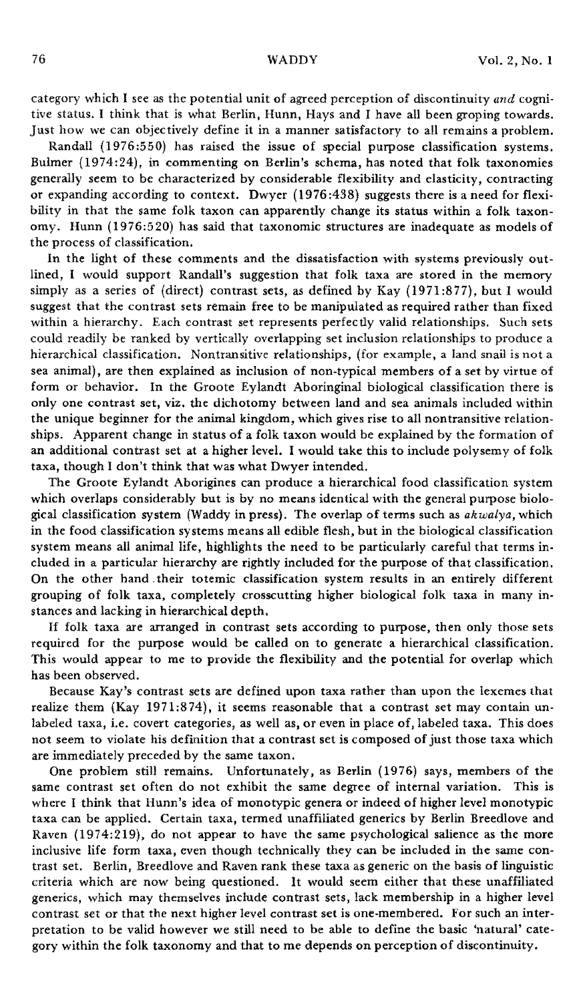category which I see as the potential unit of agreed perception of discontinuity *and* cognitive status. I think that is what Berlin, Hunn, Hays and I have all been groping towards. Just how we can objectively define it in a manner satisfactory to all remains a problem.

Randall (1976:550) has raised the issue of special purpose classification systems. Bulmer (1974:24), in commenting on Berlin's schema, has noted that folk taxonomies generally seem to be characterized by considerable flexibility and elasticity, contracting or expanding according to context. Dwyer (1976 :438) suggests there is a need for flexibility in that the same folk taxon can apparently change its status within a folk taxonomy. Hunn (1976:520) has said that taxonomic structures are inadequate as models of the process of classification.

In the light of these comments and the dissatisfaction with systems previously outlined, I would support Randall's suggestion that folk taxa are stored in the memory simply as a series of (direct) contrast sets, as defined by Kay (1971:877), but I would suggest that the contrast sets remain free to be manipUlated as required rather than fixed within a hierarchy. Each contrast set represents perfectly valid relationships. Such sets could readily be ranked by vertically overlapping set inclusion relationships to produce a hierarchical classification. Nontransitive relationships, (for example, a land snail is not a sea animal), are then explained as inclusion of non-typical members of a set by virtue of form or behavior. In the Groote Eylandt Aboringinal biological classification there is only one contrast set, viz. the dichotomy between land and sea animals included within the unique beginner for the animal kingdom, which gives rise to all nontransitive relationships. Apparent change in status of a folk taxon would be explained by the formation of an additional contrast set at a higher level. I would take this to include polysemy of folk taxa, though I don't think that was what Dwyer intended.

The Groote Eylandt Aborigines can produce a hierarchical food classification system which overlaps considerably but is by no means identical with the general purpose biological classification system (Waddy in press). The overlap of terms such as *akwalya,* which in the food classification systems means all edible flesh, but in the biological classification system means all animal life, highlights the need to be particularly careful that terms included in a particular hierarchy are rightly included for the purpose of that classification. On the other hand,their totemic classification system results in an entirely different grouping of folk taxa, completely crosscutting higher biological folk taxa in many instances and lacking in hierarchical depth.

If folk taxa are arranged in contrast sets according to purpose, then only those sets required for the purpose would be called on to generate a hierarchical classification. This would appear to me to provide the flexibility and the potential for overlap which has been observed.

Because Kay's contrast sets are defined upon taxa rather than upon the lexemes that realize them (Kay 1971:874), it seems reasonable that a contrast set may contain unlabeled taxa, i.e. covert categories, as well as, or even in place of, labeled taxa. This does not seem to violate his definition that a contrast set is composed of just those taxa which are immediately preceded by the same taxon.

One problem still remains. Unfortunately, as Berlin (1976) says, members of the same contrast set often do not exhibit the same degree of internal variation. This is where I think that Hunn's idea of monotypic genera or indeed of higher level monotypic taxa can be applied. Certain taxa, termed unaffiliated generics by Berlin Breedlove and Raven (1974:219), do not appear to have the same psychological salience as the more inclusive life form taxa, even though technically they can be included in the same contrast set. Berlin, Breedlove and Raven rank these taxa as generic on the basis of linguistic criteria which are now being questioned. It would seem either that these unaffiliated generics, which may themselves include contrast sets, lack membership in a higher level contrast set or that the next higher level contrast set is one-membered. For such an interpretation to be valid however we still need to be able to define the basic 'natural' category within the folk taxonomy and that to me depends on perception of discontinuity.